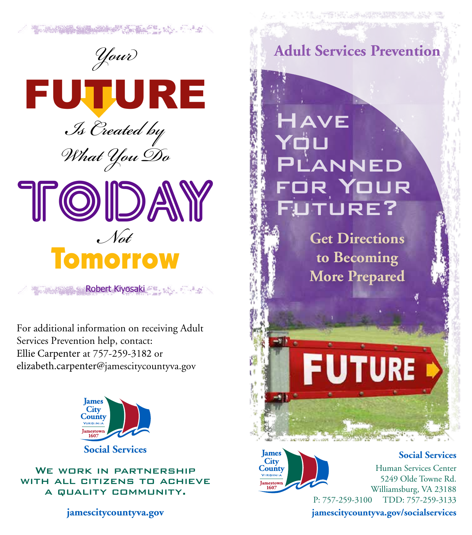

SHE WAS ARRESTED FOR THE REAL PROPERTY.

Robert Kiyosaki

For additional information on receiving Adult Services Prevention help, contact: Ellie Carpenter at 757-259-3182 or elizabeth.carpenter@jamescitycountyva.gov



WE WORK IN PARTNERSHIP WITH ALL CITIZENS TO ACHIEVE a quality community.

**jamescitycountyva.gov**

**Adult Services Prevention**

**THE THE LEW LAST HANGE THAT** 

AVE Yqu **ANNED** R YOUR TURE?

> **Get Directions to Becoming More Prepared**

## **JTURE**



**Social Services**

Human Services Center 5249 Olde Towne Rd. Williamsburg, VA 23188 P: 757-259-3100 TDD: 757-259-3133

**jamescitycountyva.gov/socialservices**